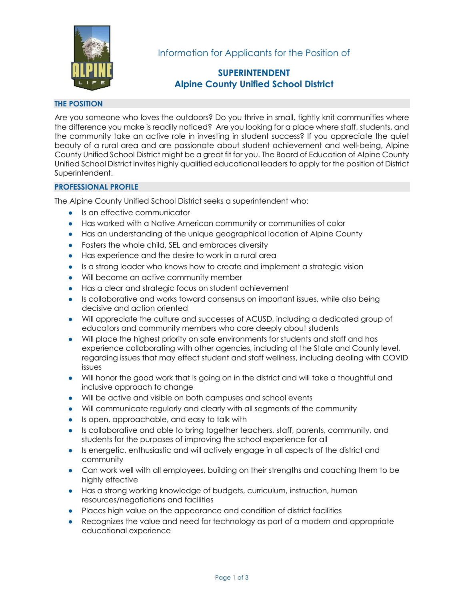

Information for Applicants for the Position of

# **SUPERINTENDENT Alpine County Unified School District**

# **THE POSITION**

Are you someone who loves the outdoors? Do you thrive in small, tightly knit communities where the difference you make is readily noticed? Are you looking for a place where staff, students, and the community take an active role in investing in student success? If you appreciate the quiet beauty of a rural area and are passionate about student achievement and well-being, Alpine County Unified School District might be a great fit for you. The Board of Education of Alpine County Unified School District invites highly qualified educational leaders to apply for the position of District Superintendent.

## **PROFESSIONAL PROFILE**

The Alpine County Unified School District seeks a superintendent who:

- Is an effective communicator
- Has worked with a Native American community or communities of color
- Has an understanding of the unique geographical location of Alpine County
- Fosters the whole child, SEL and embraces diversity
- Has experience and the desire to work in a rural area
- Is a strong leader who knows how to create and implement a strategic vision
- Will become an active community member
- Has a clear and strategic focus on student achievement
- Is collaborative and works toward consensus on important issues, while also being decisive and action oriented
- Will appreciate the culture and successes of ACUSD, including a dedicated group of educators and community members who care deeply about students
- Will place the highest priority on safe environments for students and staff and has experience collaborating with other agencies, including at the State and County level, regarding issues that may effect student and staff wellness, including dealing with COVID issues
- Will honor the good work that is going on in the district and will take a thoughtful and inclusive approach to change
- Will be active and visible on both campuses and school events
- Will communicate regularly and clearly with all segments of the community
- Is open, approachable, and easy to talk with
- Is collaborative and able to bring together teachers, staff, parents, community, and students for the purposes of improving the school experience for all
- Is energetic, enthusiastic and will actively engage in all aspects of the district and community
- Can work well with all employees, building on their strengths and coaching them to be highly effective
- Has a strong working knowledge of budgets, curriculum, instruction, human resources/negotiations and facilities
- Places high value on the appearance and condition of district facilities
- Recognizes the value and need for technology as part of a modern and appropriate educational experience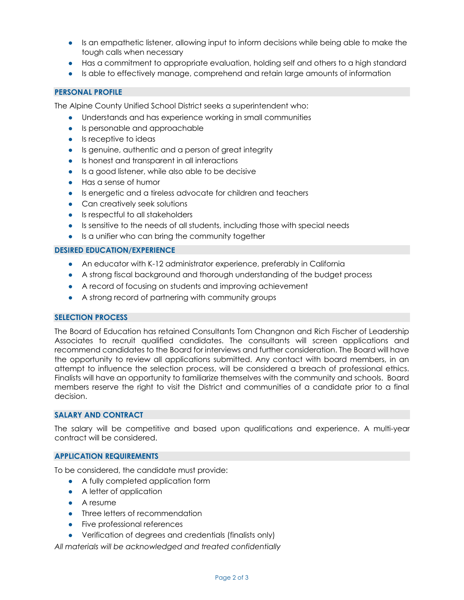- Is an empathetic listener, allowing input to inform decisions while being able to make the tough calls when necessary
- Has a commitment to appropriate evaluation, holding self and others to a high standard
- Is able to effectively manage, comprehend and retain large amounts of information

## **PERSONAL PROFILE**

The Alpine County Unified School District seeks a superintendent who:

- Understands and has experience working in small communities
- Is personable and approachable
- Is receptive to ideas
- Is genuine, authentic and a person of great integrity
- Is honest and transparent in all interactions
- Is a good listener, while also able to be decisive
- Has a sense of humor
- Is energetic and a tireless advocate for children and teachers
- Can creatively seek solutions
- Is respectful to all stakeholders
- Is sensitive to the needs of all students, including those with special needs
- Is a unifier who can bring the community together

## **DESIRED EDUCATION/EXPERIENCE**

- An educator with K-12 administrator experience, preferably in California
- A strong fiscal background and thorough understanding of the budget process
- A record of focusing on students and improving achievement
- A strong record of partnering with community groups

## **SELECTION PROCESS**

The Board of Education has retained Consultants Tom Changnon and Rich Fischer of Leadership Associates to recruit qualified candidates. The consultants will screen applications and recommend candidates to the Board for interviews and further consideration. The Board will have the opportunity to review all applications submitted. Any contact with board members, in an attempt to influence the selection process, will be considered a breach of professional ethics. Finalists will have an opportunity to familiarize themselves with the community and schools. Board members reserve the right to visit the District and communities of a candidate prior to a final decision.

## **SALARY AND CONTRACT**

The salary will be competitive and based upon qualifications and experience. A multi-year contract will be considered.

## **APPLICATION REQUIREMENTS**

To be considered, the candidate must provide:

- A fully completed application form
- A letter of application
- A resume
- Three letters of recommendation
- Five professional references
- Verification of degrees and credentials (finalists only)

*All materials will be acknowledged and treated confidentially*